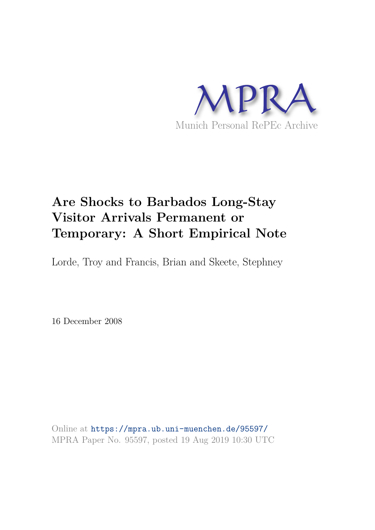

# **Are Shocks to Barbados Long-Stay Visitor Arrivals Permanent or Temporary: A Short Empirical Note**

Lorde, Troy and Francis, Brian and Skeete, Stephney

16 December 2008

Online at https://mpra.ub.uni-muenchen.de/95597/ MPRA Paper No. 95597, posted 19 Aug 2019 10:30 UTC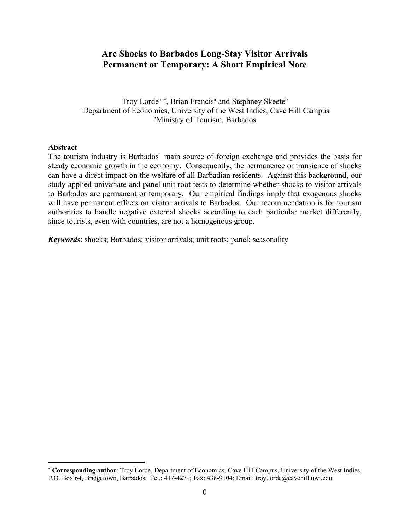# **Are Shocks to Barbados Long-Stay Visitor Arrivals Permanent or Temporary: A Short Empirical Note**

Troy Lorde<sup>a, \*</sup>, Brian Francis<sup>a</sup> and Stephney Skeete<sup>b</sup> <sup>a</sup>Department of Economics, University of the West Indies, Cave Hill Campus <sup>b</sup>Ministry of Tourism, Barbados

## **Abstract**

 $\overline{a}$ 

The tourism industry is Barbados' main source of foreign exchange and provides the basis for steady economic growth in the economy. Consequently, the permanence or transience of shocks can have a direct impact on the welfare of all Barbadian residents. Against this background, our study applied univariate and panel unit root tests to determine whether shocks to visitor arrivals to Barbados are permanent or temporary. Our empirical findings imply that exogenous shocks will have permanent effects on visitor arrivals to Barbados. Our recommendation is for tourism authorities to handle negative external shocks according to each particular market differently, since tourists, even with countries, are not a homogenous group.

*Keywords*: shocks; Barbados; visitor arrivals; unit roots; panel; seasonality

<sup>\*</sup> **Corresponding author**: Troy Lorde, Department of Economics, Cave Hill Campus, University of the West Indies, P.O. Box 64, Bridgetown, Barbados. Tel.: 417-4279; Fax: 438-9104; Email: troy.lorde@cavehill.uwi.edu.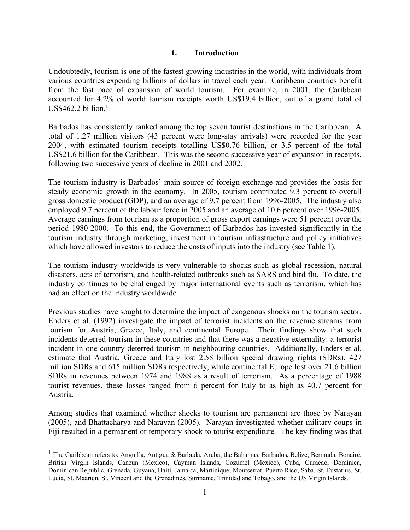## **1. Introduction**

Undoubtedly, tourism is one of the fastest growing industries in the world, with individuals from various countries expending billions of dollars in travel each year. Caribbean countries benefit from the fast pace of expansion of world tourism. For example, in 2001, the Caribbean accounted for 4.2% of world tourism receipts worth US\$19.4 billion, out of a grand total of  $US$462.2 billion.<sup>1</sup>$ 

Barbados has consistently ranked among the top seven tourist destinations in the Caribbean. A total of 1.27 million visitors (43 percent were long-stay arrivals) were recorded for the year 2004, with estimated tourism receipts totalling US\$0.76 billion, or 3.5 percent of the total US\$21.6 billion for the Caribbean. This was the second successive year of expansion in receipts, following two successive years of decline in 2001 and 2002.

The tourism industry is Barbados' main source of foreign exchange and provides the basis for steady economic growth in the economy. In 2005, tourism contributed 9.3 percent to overall gross domestic product (GDP), and an average of 9.7 percent from 1996-2005. The industry also employed 9.7 percent of the labour force in 2005 and an average of 10.6 percent over 1996-2005. Average earnings from tourism as a proportion of gross export earnings were 51 percent over the period 1980-2000. To this end, the Government of Barbados has invested significantly in the tourism industry through marketing, investment in tourism infrastructure and policy initiatives which have allowed investors to reduce the costs of inputs into the industry (see Table 1).

The tourism industry worldwide is very vulnerable to shocks such as global recession, natural disasters, acts of terrorism, and health-related outbreaks such as SARS and bird flu. To date, the industry continues to be challenged by major international events such as terrorism, which has had an effect on the industry worldwide.

Previous studies have sought to determine the impact of exogenous shocks on the tourism sector. Enders et al. (1992) investigate the impact of terrorist incidents on the revenue streams from tourism for Austria, Greece, Italy, and continental Europe. Their findings show that such incidents deterred tourism in these countries and that there was a negative externality: a terrorist incident in one country deterred tourism in neighbouring countries. Additionally, Enders et al. estimate that Austria, Greece and Italy lost 2.58 billion special drawing rights (SDRs), 427 million SDRs and 615 million SDRs respectively, while continental Europe lost over 21.6 billion SDRs in revenues between 1974 and 1988 as a result of terrorism. As a percentage of 1988 tourist revenues, these losses ranged from 6 percent for Italy to as high as 40.7 percent for Austria.

Among studies that examined whether shocks to tourism are permanent are those by Narayan (2005), and Bhattacharya and Narayan (2005). Narayan investigated whether military coups in Fiji resulted in a permanent or temporary shock to tourist expenditure. The key finding was that

 $\overline{a}$ 

<sup>&</sup>lt;sup>1</sup> The Caribbean refers to: Anguilla, Antigua & Barbuda, Aruba, the Bahamas, Barbados, Belize, Bermuda, Bonaire, British Virgin Islands, Cancun (Mexico), Cayman Islands, Cozumel (Mexico), Cuba, Curacao, Dominica, Dominican Republic, Grenada, Guyana, Haiti, Jamaica, Martinique, Montserrat, Puerto Rico, Saba, St. Eustatius, St. Lucia, St. Maarten, St. Vincent and the Grenadines, Suriname, Trinidad and Tobago, and the US Virgin Islands.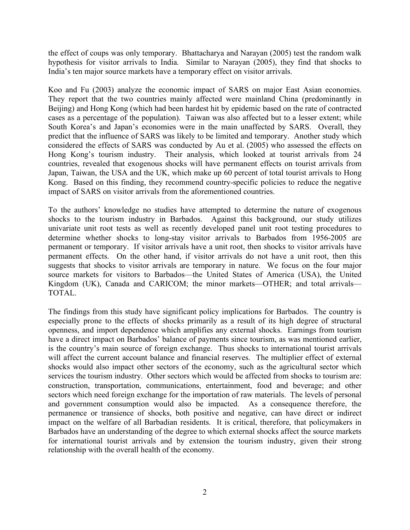the effect of coups was only temporary. Bhattacharya and Narayan (2005) test the random walk hypothesis for visitor arrivals to India. Similar to Narayan (2005), they find that shocks to India's ten major source markets have a temporary effect on visitor arrivals.

Koo and Fu (2003) analyze the economic impact of SARS on major East Asian economies. They report that the two countries mainly affected were mainland China (predominantly in Beijing) and Hong Kong (which had been hardest hit by epidemic based on the rate of contracted cases as a percentage of the population). Taiwan was also affected but to a lesser extent; while South Korea's and Japan's economies were in the main unaffected by SARS. Overall, they predict that the influence of SARS was likely to be limited and temporary. Another study which considered the effects of SARS was conducted by Au et al. (2005) who assessed the effects on Hong Kong's tourism industry. Their analysis, which looked at tourist arrivals from 24 countries, revealed that exogenous shocks will have permanent effects on tourist arrivals from Japan, Taiwan, the USA and the UK, which make up 60 percent of total tourist arrivals to Hong Kong. Based on this finding, they recommend country-specific policies to reduce the negative impact of SARS on visitor arrivals from the aforementioned countries.

To the authors' knowledge no studies have attempted to determine the nature of exogenous shocks to the tourism industry in Barbados. Against this background, our study utilizes univariate unit root tests as well as recently developed panel unit root testing procedures to determine whether shocks to long-stay visitor arrivals to Barbados from 1956-2005 are permanent or temporary. If visitor arrivals have a unit root, then shocks to visitor arrivals have permanent effects. On the other hand, if visitor arrivals do not have a unit root, then this suggests that shocks to visitor arrivals are temporary in nature. We focus on the four major source markets for visitors to Barbados—the United States of America (USA), the United Kingdom (UK), Canada and CARICOM; the minor markets—OTHER; and total arrivals— TOTAL.

The findings from this study have significant policy implications for Barbados. The country is especially prone to the effects of shocks primarily as a result of its high degree of structural openness, and import dependence which amplifies any external shocks. Earnings from tourism have a direct impact on Barbados' balance of payments since tourism, as was mentioned earlier, is the country's main source of foreign exchange. Thus shocks to international tourist arrivals will affect the current account balance and financial reserves. The multiplier effect of external shocks would also impact other sectors of the economy, such as the agricultural sector which services the tourism industry. Other sectors which would be affected from shocks to tourism are: construction, transportation, communications, entertainment, food and beverage; and other sectors which need foreign exchange for the importation of raw materials. The levels of personal and government consumption would also be impacted. As a consequence therefore, the permanence or transience of shocks, both positive and negative, can have direct or indirect impact on the welfare of all Barbadian residents. It is critical, therefore, that policymakers in Barbados have an understanding of the degree to which external shocks affect the source markets for international tourist arrivals and by extension the tourism industry, given their strong relationship with the overall health of the economy.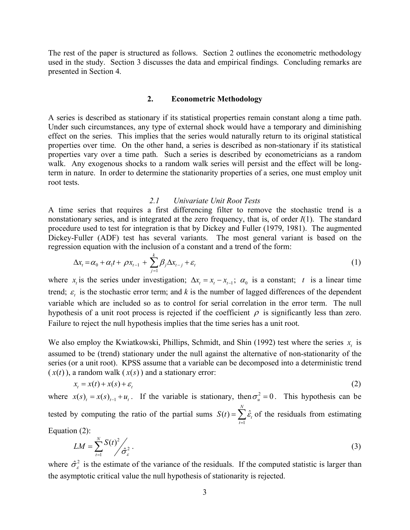The rest of the paper is structured as follows. Section 2 outlines the econometric methodology used in the study. Section 3 discusses the data and empirical findings. Concluding remarks are presented in Section 4.

#### **2. Econometric Methodology**

A series is described as stationary if its statistical properties remain constant along a time path. Under such circumstances, any type of external shock would have a temporary and diminishing effect on the series. This implies that the series would naturally return to its original statistical properties over time. On the other hand, a series is described as non-stationary if its statistical properties vary over a time path. Such a series is described by econometricians as a random walk. Any exogenous shocks to a random walk series will persist and the effect will be longterm in nature. In order to determine the stationarity properties of a series, one must employ unit root tests.

#### *2.1 Univariate Unit Root Tests*

A time series that requires a first differencing filter to remove the stochastic trend is a nonstationary series, and is integrated at the zero frequency, that is, of order *I*(1). The standard procedure used to test for integration is that by Dickey and Fuller (1979, 1981). The augmented Dickey-Fuller (ADF) test has several variants. The most general variant is based on the regression equation with the inclusion of a constant and a trend of the form:

$$
\Delta x_t = \alpha_0 + \alpha_1 t + \rho x_{t-1} + \sum_{j=1}^k \beta_j \Delta x_{t-j} + \varepsilon_t
$$
\n(1)

where  $x_t$  is the series under investigation;  $\Delta x_t = x_t - x_{t-1}$ ;  $\alpha_0$  is a constant; *t* is a linear time trend;  $\varepsilon$  is the stochastic error term; and *k* is the number of lagged differences of the dependent variable which are included so as to control for serial correlation in the error term. The null hypothesis of a unit root process is rejected if the coefficient  $\rho$  is significantly less than zero. Failure to reject the null hypothesis implies that the time series has a unit root.

We also employ the Kwiatkowski, Phillips, Schmidt, and Shin (1992) test where the series  $x_t$  is assumed to be (trend) stationary under the null against the alternative of non-stationarity of the series (or a unit root). KPSS assume that a variable can be decomposed into a deterministic trend  $(x(t))$ , a random walk  $(x(s))$  and a stationary error:

$$
x_t = x(t) + x(s) + \varepsilon_t \tag{2}
$$

where  $x(s)_{t} = x(s)_{t-1} + u_t$ . If the variable is stationary, then  $\sigma_u^2 = 0$ . This hypothesis can be tested by computing the ratio of the partial sums  $S(t) = \sum \hat{\epsilon}_t$  of the residuals from estimating 1  $(t) = \sum \hat{\varepsilon}$ *N t t*  $S(t) = \sum \hat{\varepsilon}$  $=\sum_{t=1}^{N}$ 

Equation (2):

$$
LM = \sum_{t=1}^{N} \frac{S(t)^2}{\hat{\sigma}_{\varepsilon}^2}.
$$
 (3)

where  $\hat{\sigma}_{\varepsilon}^2$  is the estimate of the variance of the residuals. If the computed statistic is larger than the asymptotic critical value the null hypothesis of stationarity is rejected.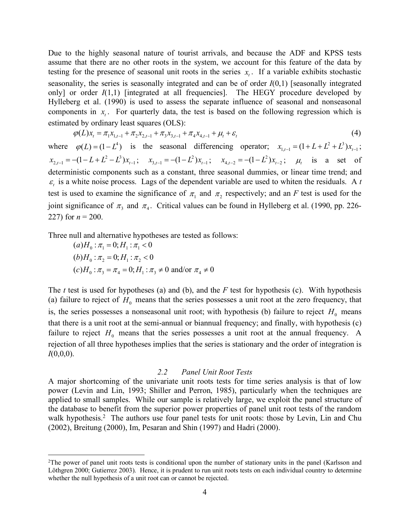Due to the highly seasonal nature of tourist arrivals, and because the ADF and KPSS tests assume that there are no other roots in the system, we account for this feature of the data by testing for the presence of seasonal unit roots in the series  $x_t$ . If a variable exhibits stochastic seasonality, the series is seasonally integrated and can be of order *I*(0,1) [seasonally integrated only] or order  $I(1,1)$  [integrated at all frequencies]. The HEGY procedure developed by Hylleberg et al. (1990) is used to assess the separate influence of seasonal and nonseasonal components in  $x_t$ . For quarterly data, the test is based on the following regression which is estimated by ordinary least squares (OLS):

$$
\varphi(L)x_{t} = \pi_{1}x_{1,t-1} + \pi_{2}x_{2,t-1} + \pi_{3}x_{3,t-1} + \pi_{4}x_{4,t-1} + \mu_{t} + \varepsilon_{t}
$$
\n
$$
\tag{4}
$$

where  $\varphi(L) = (1 - L^4)$  is the seasonal differencing operator;  $x_{1,t-1} = (1 + L + L^2 + L^3)x_{t-1}$ ;  $x_{2,t-1} = -(1 - L + L^2 - L^3)x_{t-1};$   $x_{3,t-1} = -(1 - L^2)x_{t-1};$   $x_{4,t-2} = -(1 - L^2)x_{t-2};$   $\mu_t$  is a set of deterministic components such as a constant, three seasonal dummies, or linear time trend; and  $\varepsilon_t$  is a white noise process. Lags of the dependent variable are used to whiten the residuals. A *t* test is used to examine the significance of  $\pi_1$  and  $\pi_2$  respectively; and an *F* test is used for the joint significance of  $\pi_3$  and  $\pi_4$ . Critical values can be found in Hylleberg et al. (1990, pp. 226-227) for  $n = 200$ .

Three null and alternative hypotheses are tested as follows:

$$
(a)H_0: \pi_1 = 0; H_1: \pi_1 < 0
$$
  
(b)H<sub>0</sub>:  $\pi_2 = 0; H_1: \pi_2 < 0$   
(c)H<sub>0</sub>:  $\pi_3 = \pi_4 = 0; H_1: \pi_3 \neq 0$  and/or  $\pi_4 \neq 0$ 

 $\overline{a}$ 

The *t* test is used for hypotheses (a) and (b), and the *F* test for hypothesis (c). With hypothesis (a) failure to reject of  $H_0$  means that the series possesses a unit root at the zero frequency, that is, the series possesses a nonseasonal unit root; with hypothesis (b) failure to reject  $H_0$  means that there is a unit root at the semi-annual or biannual frequency; and finally, with hypothesis (c) failure to reject  $H_0$  means that the series possesses a unit root at the annual frequency. A rejection of all three hypotheses implies that the series is stationary and the order of integration is *I*(0,0,0).

#### *2.2 Panel Unit Root Tests*

A major shortcoming of the univariate unit roots tests for time series analysis is that of low power (Levin and Lin, 1993; Shiller and Perron, 1985), particularly when the techniques are applied to small samples. While our sample is relatively large, we exploit the panel structure of the database to benefit from the superior power properties of panel unit root tests of the random walk hypothesis.<sup>2</sup> The authors use four panel tests for unit roots: those by Levin, Lin and Chu (2002), Breitung (2000), Im, Pesaran and Shin (1997) and Hadri (2000).

<sup>2</sup>The power of panel unit roots tests is conditional upon the number of stationary units in the panel (Karlsson and Löthgren 2000; Gutierrez 2003). Hence, it is prudent to run unit roots tests on each individual country to determine whether the null hypothesis of a unit root can or cannot be rejected.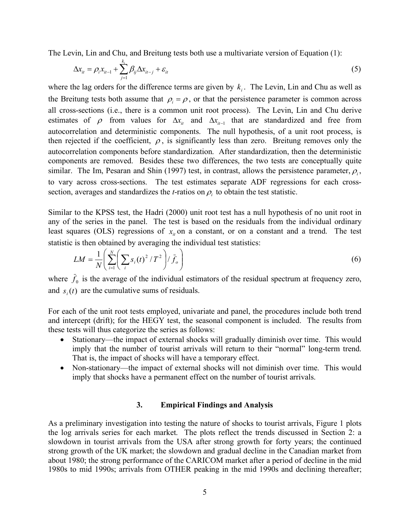The Levin, Lin and Chu, and Breitung tests both use a multivariate version of Equation (1):

$$
\Delta x_{it} = \rho_i x_{it-1} + \sum_{j=1}^{k_i} \beta_{ij} \Delta x_{it-j} + \varepsilon_{it}
$$
\n(5)

where the lag orders for the difference terms are given by  $k_i$ . The Levin, Lin and Chu as well as the Breitung tests both assume that  $\rho_i = \rho$ , or that the persistence parameter is common across all cross-sections (i.e., there is a common unit root process). The Levin, Lin and Chu derive estimates of  $\rho$  from values for  $\Delta x_i$  and  $\Delta x_{i-1}$  that are standardized and free from autocorrelation and deterministic components. The null hypothesis, of a unit root process, is then rejected if the coefficient,  $\rho$ , is significantly less than zero. Breitung removes only the autocorrelation components before standardization. After standardization, then the deterministic components are removed. Besides these two differences, the two tests are conceptually quite similar. The Im, Pesaran and Shin (1997) test, in contrast, allows the persistence parameter,  $\rho_i$ , to vary across cross-sections. The test estimates separate ADF regressions for each crosssection, averages and standardizes the *t*-ratios on  $\rho_i$  to obtain the test statistic.

Similar to the KPSS test, the Hadri (2000) unit root test has a null hypothesis of no unit root in any of the series in the panel. The test is based on the residuals from the individual ordinary least squares (OLS) regressions of  $x<sub>i</sub>$  on a constant, or on a constant and a trend. The test statistic is then obtained by averaging the individual test statistics:

$$
LM = \frac{1}{N} \left( \sum_{i=1}^{N} \left( \sum_{i} s_i(t)^2 / T^2 \right) / \bar{f}_o \right)
$$
 (6)

where  $f_0$  is the average of the individual estimators of the residual spectrum at frequency zero, and  $s_i(t)$  are the cumulative sums of residuals.

For each of the unit root tests employed, univariate and panel, the procedures include both trend and intercept (drift); for the HEGY test, the seasonal component is included. The results from these tests will thus categorize the series as follows:

- Stationary—the impact of external shocks will gradually diminish over time. This would imply that the number of tourist arrivals will return to their "normal" long-term trend. That is, the impact of shocks will have a temporary effect.
- Non-stationary—the impact of external shocks will not diminish over time. This would imply that shocks have a permanent effect on the number of tourist arrivals.

### **3. Empirical Findings and Analysis**

As a preliminary investigation into testing the nature of shocks to tourist arrivals, Figure 1 plots the log arrivals series for each market. The plots reflect the trends discussed in Section 2: a slowdown in tourist arrivals from the USA after strong growth for forty years; the continued strong growth of the UK market; the slowdown and gradual decline in the Canadian market from about 1980; the strong performance of the CARICOM market after a period of decline in the mid 1980s to mid 1990s; arrivals from OTHER peaking in the mid 1990s and declining thereafter;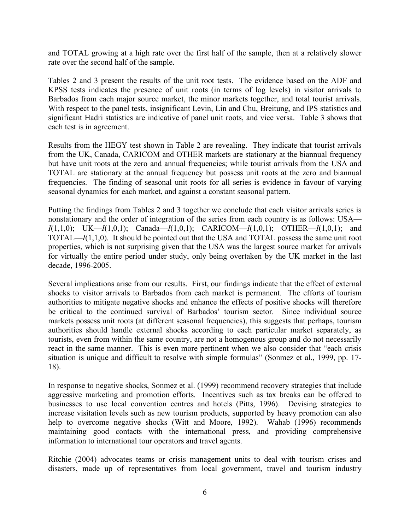and TOTAL growing at a high rate over the first half of the sample, then at a relatively slower rate over the second half of the sample.

Tables 2 and 3 present the results of the unit root tests. The evidence based on the ADF and KPSS tests indicates the presence of unit roots (in terms of log levels) in visitor arrivals to Barbados from each major source market, the minor markets together, and total tourist arrivals. With respect to the panel tests, insignificant Levin, Lin and Chu, Breitung, and IPS statistics and significant Hadri statistics are indicative of panel unit roots, and vice versa. Table 3 shows that each test is in agreement.

Results from the HEGY test shown in Table 2 are revealing. They indicate that tourist arrivals from the UK, Canada, CARICOM and OTHER markets are stationary at the biannual frequency but have unit roots at the zero and annual frequencies; while tourist arrivals from the USA and TOTAL are stationary at the annual frequency but possess unit roots at the zero and biannual frequencies. The finding of seasonal unit roots for all series is evidence in favour of varying seasonal dynamics for each market, and against a constant seasonal pattern.

Putting the findings from Tables 2 and 3 together we conclude that each visitor arrivals series is nonstationary and the order of integration of the series from each country is as follows: USA— *I*(1,1,0); UK—*I*(1,0,1); Canada—*I*(1,0,1); CARICOM—*I*(1,0,1); OTHER—*I*(1,0,1); and TOTAL—*I*(1,1,0). It should be pointed out that the USA and TOTAL possess the same unit root properties, which is not surprising given that the USA was the largest source market for arrivals for virtually the entire period under study, only being overtaken by the UK market in the last decade, 1996-2005.

Several implications arise from our results. First, our findings indicate that the effect of external shocks to visitor arrivals to Barbados from each market is permanent. The efforts of tourism authorities to mitigate negative shocks and enhance the effects of positive shocks will therefore be critical to the continued survival of Barbados' tourism sector. Since individual source markets possess unit roots (at different seasonal frequencies), this suggests that perhaps, tourism authorities should handle external shocks according to each particular market separately, as tourists, even from within the same country, are not a homogenous group and do not necessarily react in the same manner. This is even more pertinent when we also consider that "each crisis situation is unique and difficult to resolve with simple formulas" (Sonmez et al., 1999, pp. 17- 18).

In response to negative shocks, Sonmez et al. (1999) recommend recovery strategies that include aggressive marketing and promotion efforts. Incentives such as tax breaks can be offered to businesses to use local convention centres and hotels (Pitts, 1996). Devising strategies to increase visitation levels such as new tourism products, supported by heavy promotion can also help to overcome negative shocks (Witt and Moore, 1992). Wahab (1996) recommends maintaining good contacts with the international press, and providing comprehensive information to international tour operators and travel agents.

Ritchie (2004) advocates teams or crisis management units to deal with tourism crises and disasters, made up of representatives from local government, travel and tourism industry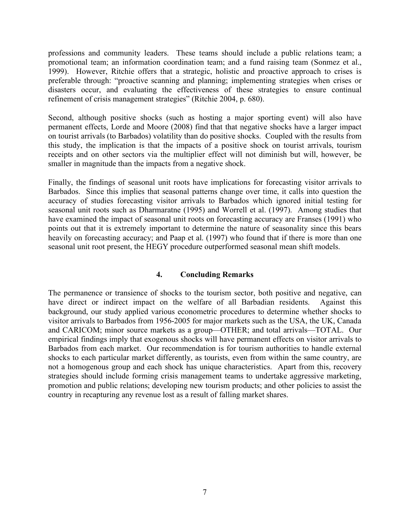professions and community leaders. These teams should include a public relations team; a promotional team; an information coordination team; and a fund raising team (Sonmez et al., 1999). However, Ritchie offers that a strategic, holistic and proactive approach to crises is preferable through: "proactive scanning and planning; implementing strategies when crises or disasters occur, and evaluating the effectiveness of these strategies to ensure continual refinement of crisis management strategies" (Ritchie 2004, p. 680).

Second, although positive shocks (such as hosting a major sporting event) will also have permanent effects, Lorde and Moore (2008) find that that negative shocks have a larger impact on tourist arrivals (to Barbados) volatility than do positive shocks. Coupled with the results from this study, the implication is that the impacts of a positive shock on tourist arrivals, tourism receipts and on other sectors via the multiplier effect will not diminish but will, however, be smaller in magnitude than the impacts from a negative shock.

Finally, the findings of seasonal unit roots have implications for forecasting visitor arrivals to Barbados. Since this implies that seasonal patterns change over time, it calls into question the accuracy of studies forecasting visitor arrivals to Barbados which ignored initial testing for seasonal unit roots such as Dharmaratne (1995) and Worrell et al. (1997). Among studies that have examined the impact of seasonal unit roots on forecasting accuracy are Franses (1991) who points out that it is extremely important to determine the nature of seasonality since this bears heavily on forecasting accuracy; and Paap et al. (1997) who found that if there is more than one seasonal unit root present, the HEGY procedure outperformed seasonal mean shift models.

## **4. Concluding Remarks**

The permanence or transience of shocks to the tourism sector, both positive and negative, can have direct or indirect impact on the welfare of all Barbadian residents. Against this background, our study applied various econometric procedures to determine whether shocks to visitor arrivals to Barbados from 1956-2005 for major markets such as the USA, the UK, Canada and CARICOM; minor source markets as a group—OTHER; and total arrivals—TOTAL. Our empirical findings imply that exogenous shocks will have permanent effects on visitor arrivals to Barbados from each market. Our recommendation is for tourism authorities to handle external shocks to each particular market differently, as tourists, even from within the same country, are not a homogenous group and each shock has unique characteristics. Apart from this, recovery strategies should include forming crisis management teams to undertake aggressive marketing, promotion and public relations; developing new tourism products; and other policies to assist the country in recapturing any revenue lost as a result of falling market shares.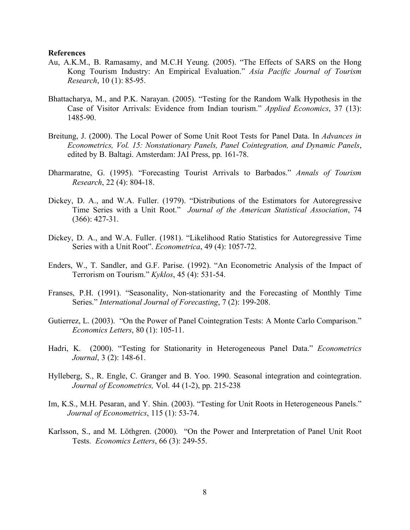#### **References**

- Au, A.K.M., B. Ramasamy, and M.C.H Yeung. (2005). "The Effects of SARS on the Hong Kong Tourism Industry: An Empirical Evaluation." *Asia Pacific Journal of Tourism Research*, 10 (1): 85-95.
- Bhattacharya, M., and P.K. Narayan. (2005). "Testing for the Random Walk Hypothesis in the Case of Visitor Arrivals: Evidence from Indian tourism." *Applied Economics*, 37 (13): 1485-90.
- Breitung, J. (2000). The Local Power of Some Unit Root Tests for Panel Data. In *Advances in Econometrics, Vol. 15: Nonstationary Panels, Panel Cointegration, and Dynamic Panels*, edited by B. Baltagi. Amsterdam: JAI Press, pp. 161-78.
- Dharmaratne, G. (1995). "Forecasting Tourist Arrivals to Barbados." *Annals of Tourism Research*, 22 (4): 804-18.
- Dickey, D. A., and W.A. Fuller. (1979). "Distributions of the Estimators for Autoregressive Time Series with a Unit Root." *Journal of the American Statistical Association*, 74 (366): 427-31.
- Dickey, D. A., and W.A. Fuller. (1981). "Likelihood Ratio Statistics for Autoregressive Time Series with a Unit Root". *Econometrica*, 49 (4): 1057-72.
- Enders, W., T. Sandler, and G.F. Parise. (1992). "An Econometric Analysis of the Impact of Terrorism on Tourism." *Kyklos*, 45 (4): 531-54.
- Franses, P.H. (1991). "Seasonality, Non-stationarity and the Forecasting of Monthly Time Series." *International Journal of Forecasting*, 7 (2): 199-208.
- Gutierrez, L. (2003). "On the Power of Panel Cointegration Tests: A Monte Carlo Comparison." *Economics Letters*, 80 (1): 105-11.
- Hadri, K. (2000). "Testing for Stationarity in Heterogeneous Panel Data." *Econometrics Journal*, 3 (2): 148-61.
- Hylleberg, S., R. Engle, C. Granger and B. Yoo. 1990. Seasonal integration and cointegration. *Journal of Econometrics,* Vol. 44 (1-2), pp. 215-238
- Im, K.S., M.H. Pesaran, and Y. Shin. (2003). "Testing for Unit Roots in Heterogeneous Panels." *Journal of Econometrics*, 115 (1): 53-74.
- Karlsson, S., and M. Löthgren. (2000). "On the Power and Interpretation of Panel Unit Root Tests. *Economics Letters*, 66 (3): 249-55.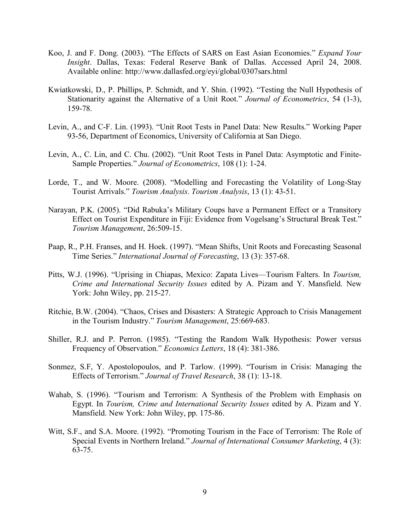- Koo, J. and F. Dong. (2003). "The Effects of SARS on East Asian Economies." *Expand Your Insight*. Dallas, Texas: Federal Reserve Bank of Dallas. Accessed April 24, 2008. Available online: http://www.dallasfed.org/eyi/global/0307sars.html
- Kwiatkowski, D., P. Phillips, P. Schmidt, and Y. Shin. (1992). "Testing the Null Hypothesis of Stationarity against the Alternative of a Unit Root." *Journal of Econometrics*, 54 (1-3), 159-78.
- Levin, A., and C-F. Lin. (1993). "Unit Root Tests in Panel Data: New Results." Working Paper 93-56, Department of Economics, University of California at San Diego.
- Levin, A., C. Lin, and C. Chu. (2002). "Unit Root Tests in Panel Data: Asymptotic and Finite-Sample Properties." *Journal of Econometrics*, 108 (1): 1-24.
- Lorde, T., and W. Moore. (2008). "Modelling and Forecasting the Volatility of Long-Stay Tourist Arrivals." *Tourism Analysis*. *Tourism Analysis*, 13 (1): 43-51.
- Narayan, P.K. (2005). "Did Rabuka's Military Coups have a Permanent Effect or a Transitory Effect on Tourist Expenditure in Fiji: Evidence from Vogelsang's Structural Break Test." *Tourism Management*, 26:509-15.
- Paap, R., P.H. Franses, and H. Hoek. (1997). "Mean Shifts, Unit Roots and Forecasting Seasonal Time Series." *International Journal of Forecasting*, 13 (3): 357-68.
- Pitts, W.J. (1996). "Uprising in Chiapas, Mexico: Zapata Lives—Tourism Falters. In *Tourism, Crime and International Security Issues* edited by A. Pizam and Y. Mansfield. New York: John Wiley, pp. 215-27.
- Ritchie, B.W. (2004). "Chaos, Crises and Disasters: A Strategic Approach to Crisis Management in the Tourism Industry." *Tourism Management*, 25:669-683.
- Shiller, R.J. and P. Perron. (1985). "Testing the Random Walk Hypothesis: Power versus Frequency of Observation." *Economics Letters*, 18 (4): 381-386.
- Sonmez, S.F, Y. Apostolopoulos, and P. Tarlow. (1999). "Tourism in Crisis: Managing the Effects of Terrorism." *Journal of Travel Research*, 38 (1): 13-18.
- Wahab, S. (1996). "Tourism and Terrorism: A Synthesis of the Problem with Emphasis on Egypt. In *Tourism, Crime and International Security Issues* edited by A. Pizam and Y. Mansfield. New York: John Wiley, pp. 175-86.
- Witt, S.F., and S.A. Moore. (1992). "Promoting Tourism in the Face of Terrorism: The Role of Special Events in Northern Ireland." *Journal of International Consumer Marketing*, 4 (3): 63-75.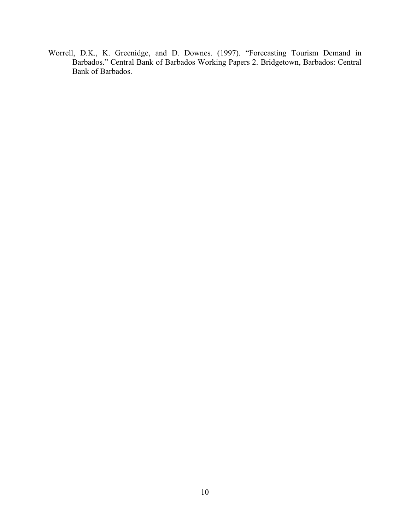Worrell, D.K., K. Greenidge, and D. Downes. (1997). "Forecasting Tourism Demand in Barbados." Central Bank of Barbados Working Papers 2. Bridgetown, Barbados: Central Bank of Barbados.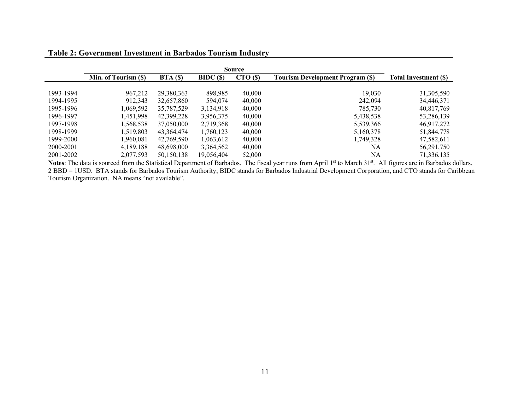|           | Source               |                          |                    |                     |                                         |                             |  |  |
|-----------|----------------------|--------------------------|--------------------|---------------------|-----------------------------------------|-----------------------------|--|--|
|           | Min. of Tourism (\$) | BTA(S)                   | BIDC(S)            | $\mathbf{CTO}$ (\$) | <b>Tourism Development Program (\$)</b> | <b>Total Investment (S)</b> |  |  |
| 1993-1994 |                      |                          |                    |                     |                                         |                             |  |  |
| 1994-1995 | 967,212<br>912,343   | 29,380,363<br>32,657,860 | 898,985<br>594,074 | 40,000<br>40,000    | 19,030<br>242,094                       | 31,305,590<br>34,446,371    |  |  |
| 1995-1996 | 0.69,592             | 35,787,529               | 3,134,918          | 40,000              | 785,730                                 | 40,817,769                  |  |  |
| 1996-1997 | 1,451,998            | 42,399,228               | 3,956,375          | 40,000              | 5,438,538                               | 53,286,139                  |  |  |
| 1997-1998 | .568,538             | 37,050,000               | 2,719,368          | 40,000              | 5,539,366                               | 46,917,272                  |  |  |
| 1998-1999 | 1,519,803            | 43,364,474               | 1,760,123          | 40,000              | 5,160,378                               | 51,844,778                  |  |  |
| 1999-2000 | 1,960,081            | 42,769,590               | 1,063,612          | 40,000              | 1,749,328                               | 47,582,611                  |  |  |
| 2000-2001 | 4,189,188            | 48,698,000               | 3,364,562          | 40,000              | NA                                      | 56,291,750                  |  |  |
| 2001-2002 | 2,077,593            | 50,150,138               | 19,056,404         | 52,000              | NA                                      | 71,336,135                  |  |  |

## **Table 2: Government Investment in Barbados Tourism Industry**

Notes: The data is sourced from the Statistical Department of Barbados. The fiscal year runs from April 1<sup>st</sup> to March 31<sup>st</sup>. All figures are in Barbados dollars. 2 BBD = 1USD. BTA stands for Barbados Tourism Authority; BIDC stands for Barbados Industrial Development Corporation, and CTO stands for Caribbean Tourism Organization. NA means "not available".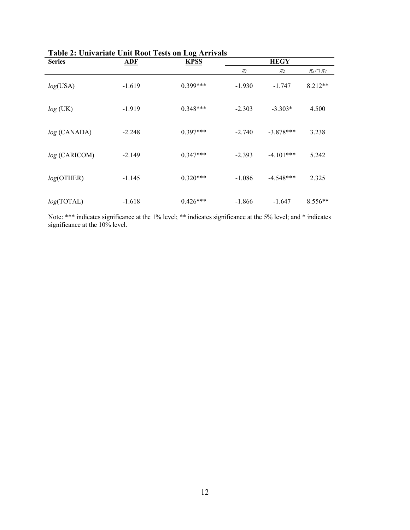| <b>Series</b> | <b>ADF</b> | Table 2. Univariate Unit Nobel Fests on Eug Arrivais<br><b>KPSS</b> |          | <b>HEGY</b> |                    |
|---------------|------------|---------------------------------------------------------------------|----------|-------------|--------------------|
|               |            |                                                                     | $\pi_l$  | $\pi_2$     | $\pi_3 \cap \pi_4$ |
| log(USA)      | $-1.619$   | $0.399***$                                                          | $-1.930$ | $-1.747$    | $8.212**$          |
| $log$ (UK)    | $-1.919$   | $0.348***$                                                          | $-2.303$ | $-3.303*$   | 4.500              |
| log (CANADA)  | $-2.248$   | $0.397***$                                                          | $-2.740$ | $-3.878***$ | 3.238              |
| log (CARICOM) | $-2.149$   | $0.347***$                                                          | $-2.393$ | $-4.101***$ | 5.242              |
| log(OTHEN)    | $-1.145$   | $0.320***$                                                          | $-1.086$ | $-4.548***$ | 2.325              |
| log(TOTAL)    | $-1.618$   | $0.426***$                                                          | $-1.866$ | $-1.647$    | $8.556**$          |

**Table 2: Univariate Unit Root Tests on Log Arrivals** 

Note: \*\*\* indicates significance at the 1% level; \*\* indicates significance at the 5% level; and \* indicates significance at the 10% level.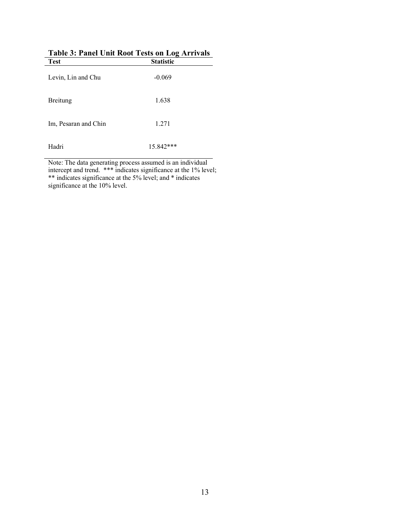| <b>Test</b>          | <b>Statistic</b> |  |
|----------------------|------------------|--|
| Levin, Lin and Chu   | $-0.069$         |  |
| Breitung             | 1.638            |  |
| Im, Pesaran and Chin | 1.271            |  |
| Hadri                | $15.842***$      |  |

|         | Table 3: Panel Unit Root Tests on Log Arrivals |
|---------|------------------------------------------------|
| $T$ ost | Stotistic                                      |

Note: The data generating process assumed is an individual intercept and trend. \*\*\* indicates significance at the 1% level; \*\* indicates significance at the 5% level; and \* indicates significance at the 10% level.